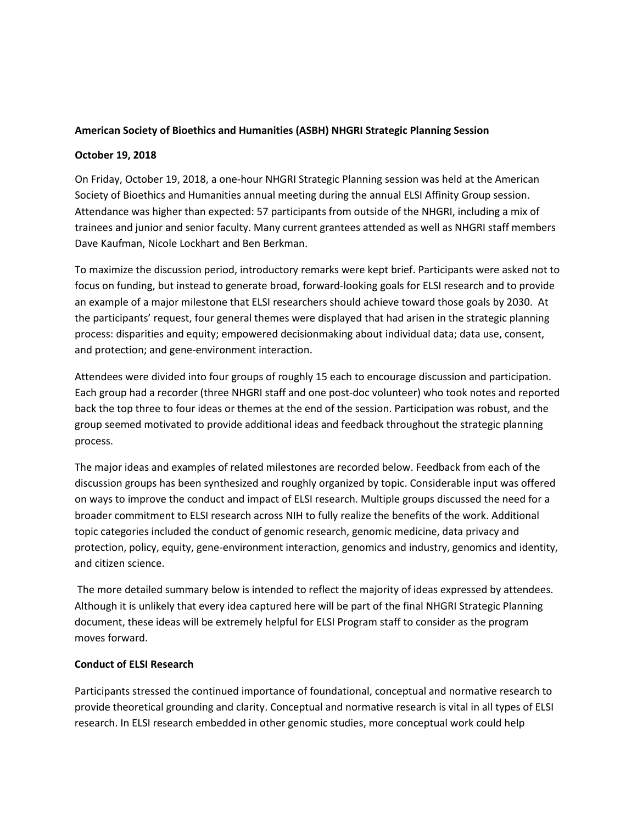### **American Society of Bioethics and Humanities (ASBH) NHGRI Strategic Planning Session**

#### **October 19, 2018**

On Friday, October 19, 2018, a one-hour NHGRI Strategic Planning session was held at the American Society of Bioethics and Humanities annual meeting during the annual ELSI Affinity Group session. Attendance was higher than expected: 57 participants from outside of the NHGRI, including a mix of trainees and junior and senior faculty. Many current grantees attended as well as NHGRI staff members Dave Kaufman, Nicole Lockhart and Ben Berkman.

To maximize the discussion period, introductory remarks were kept brief. Participants were asked not to focus on funding, but instead to generate broad, forward-looking goals for ELSI research and to provide an example of a major milestone that ELSI researchers should achieve toward those goals by 2030. At the participants' request, four general themes were displayed that had arisen in the strategic planning process: disparities and equity; empowered decisionmaking about individual data; data use, consent, and protection; and gene-environment interaction.

Attendees were divided into four groups of roughly 15 each to encourage discussion and participation. Each group had a recorder (three NHGRI staff and one post-doc volunteer) who took notes and reported back the top three to four ideas or themes at the end of the session. Participation was robust, and the group seemed motivated to provide additional ideas and feedback throughout the strategic planning process.

The major ideas and examples of related milestones are recorded below. Feedback from each of the discussion groups has been synthesized and roughly organized by topic. Considerable input was offered on ways to improve the conduct and impact of ELSI research. Multiple groups discussed the need for a broader commitment to ELSI research across NIH to fully realize the benefits of the work. Additional topic categories included the conduct of genomic research, genomic medicine, data privacy and protection, policy, equity, gene-environment interaction, genomics and industry, genomics and identity, and citizen science.

The more detailed summary below is intended to reflect the majority of ideas expressed by attendees. Although it is unlikely that every idea captured here will be part of the final NHGRI Strategic Planning document, these ideas will be extremely helpful for ELSI Program staff to consider as the program moves forward.

### **Conduct of ELSI Research**

Participants stressed the continued importance of foundational, conceptual and normative research to provide theoretical grounding and clarity. Conceptual and normative research is vital in all types of ELSI research. In ELSI research embedded in other genomic studies, more conceptual work could help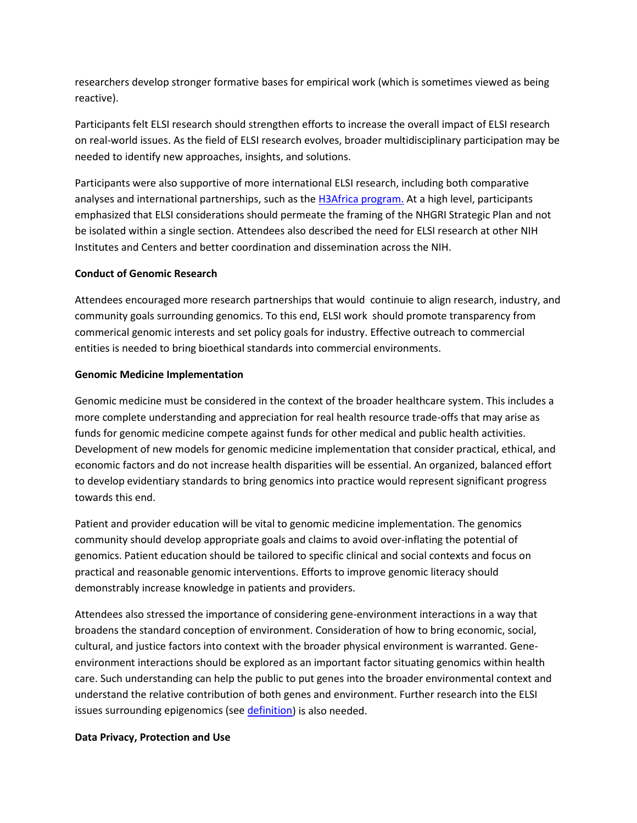researchers develop stronger formative bases for empirical work (which is sometimes viewed as being reactive).

Participants felt ELSI research should strengthen efforts to increase the overall impact of ELSI research on real-world issues. As the field of ELSI research evolves, broader multidisciplinary participation may be needed to identify new approaches, insights, and solutions.

Participants were also supportive of more international ELSI research, including both comparative analyses and international partnerships, such as the **H3Africa program**. At a high level, participants emphasized that ELSI considerations should permeate the framing of the NHGRI Strategic Plan and not be isolated within a single section. Attendees also described the need for ELSI research at other NIH Institutes and Centers and better coordination and dissemination across the NIH.

# **Conduct of Genomic Research**

Attendees encouraged more research partnerships that would continuie to align research, industry, and community goals surrounding genomics. To this end, ELSI work should promote transparency from commerical genomic interests and set policy goals for industry. Effective outreach to commercial entities is needed to bring bioethical standards into commercial environments.

# **Genomic Medicine Implementation**

Genomic medicine must be considered in the context of the broader healthcare system. This includes a more complete understanding and appreciation for real health resource trade-offs that may arise as funds for genomic medicine compete against funds for other medical and public health activities. Development of new models for genomic medicine implementation that consider practical, ethical, and economic factors and do not increase health disparities will be essential. An organized, balanced effort to develop evidentiary standards to bring genomics into practice would represent significant progress towards this end.

Patient and provider education will be vital to genomic medicine implementation. The genomics community should develop appropriate goals and claims to avoid over-inflating the potential of genomics. Patient education should be tailored to specific clinical and social contexts and focus on practical and reasonable genomic interventions. Efforts to improve genomic literacy should demonstrably increase knowledge in patients and providers.

Attendees also stressed the importance of considering gene-environment interactions in a way that broadens the standard conception of environment. Consideration of how to bring economic, social, cultural, and justice factors into context with the broader physical environment is warranted. Geneenvironment interactions should be explored as an important factor situating genomics within health care. Such understanding can help the public to put genes into the broader environmental context and understand the relative contribution of both genes and environment. Further research into the ELSI issues surrounding epigenomics (see [definition\)](https://www.genome.gov/27532724/) is also needed.

### **Data Privacy, Protection and Use**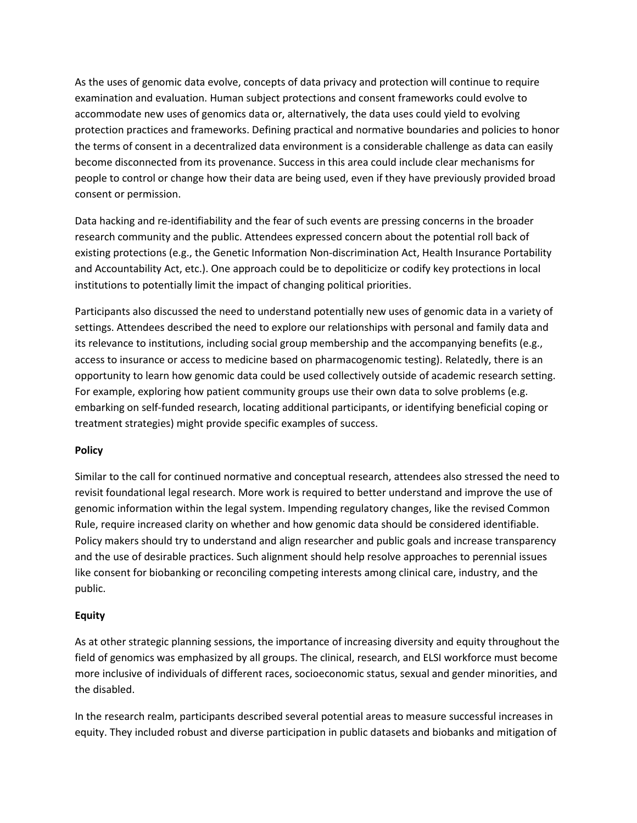As the uses of genomic data evolve, concepts of data privacy and protection will continue to require examination and evaluation. Human subject protections and consent frameworks could evolve to accommodate new uses of genomics data or, alternatively, the data uses could yield to evolving protection practices and frameworks. Defining practical and normative boundaries and policies to honor the terms of consent in a decentralized data environment is a considerable challenge as data can easily become disconnected from its provenance. Success in this area could include clear mechanisms for people to control or change how their data are being used, even if they have previously provided broad consent or permission.

Data hacking and re-identifiability and the fear of such events are pressing concerns in the broader research community and the public. Attendees expressed concern about the potential roll back of existing protections (e.g., the Genetic Information Non-discrimination Act, Health Insurance Portability and Accountability Act, etc.). One approach could be to depoliticize or codify key protections in local institutions to potentially limit the impact of changing political priorities.

Participants also discussed the need to understand potentially new uses of genomic data in a variety of settings. Attendees described the need to explore our relationships with personal and family data and its relevance to institutions, including social group membership and the accompanying benefits (e.g., access to insurance or access to medicine based on pharmacogenomic testing). Relatedly, there is an opportunity to learn how genomic data could be used collectively outside of academic research setting. For example, exploring how patient community groups use their own data to solve problems (e.g. embarking on self-funded research, locating additional participants, or identifying beneficial coping or treatment strategies) might provide specific examples of success.

### **Policy**

Similar to the call for continued normative and conceptual research, attendees also stressed the need to revisit foundational legal research. More work is required to better understand and improve the use of genomic information within the legal system. Impending regulatory changes, like the revised Common Rule, require increased clarity on whether and how genomic data should be considered identifiable. Policy makers should try to understand and align researcher and public goals and increase transparency and the use of desirable practices. Such alignment should help resolve approaches to perennial issues like consent for biobanking or reconciling competing interests among clinical care, industry, and the public.

### **Equity**

As at other strategic planning sessions, the importance of increasing diversity and equity throughout the field of genomics was emphasized by all groups. The clinical, research, and ELSI workforce must become more inclusive of individuals of different races, socioeconomic status, sexual and gender minorities, and the disabled.

In the research realm, participants described several potential areas to measure successful increases in equity. They included robust and diverse participation in public datasets and biobanks and mitigation of